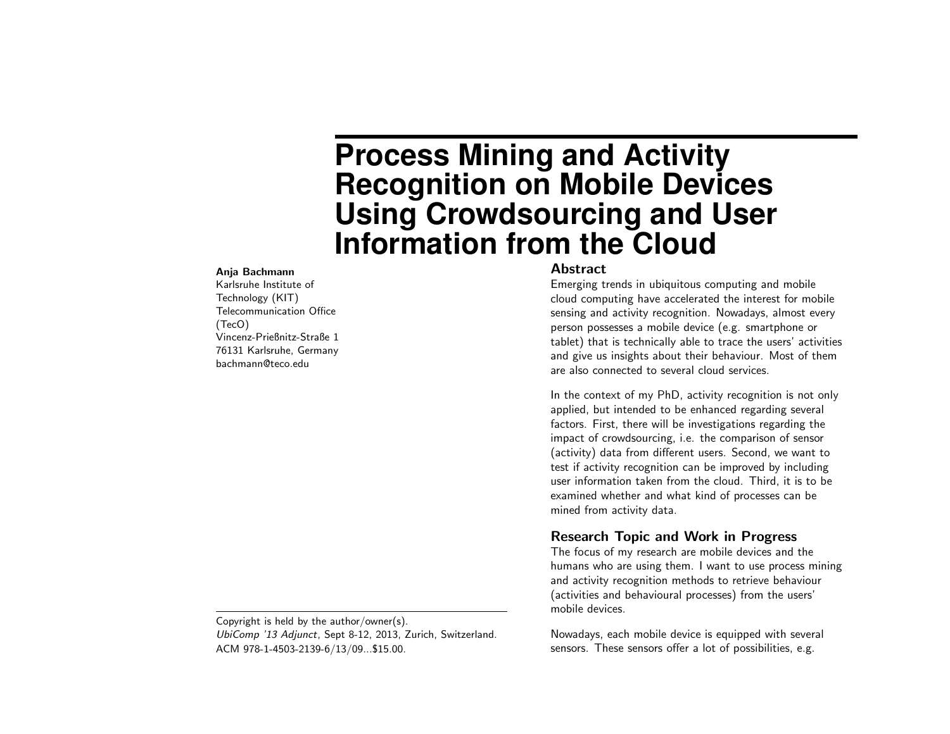# **Process Mining and Activity Recognition on Mobile Devices Using Crowdsourcing and User Information from the Cloud**

#### Anja Bachmann

Karlsruhe Institute of Technology (KIT) Telecommunication Office (TecO) Vincenz-Prießnitz-Straße 1 76131 Karlsruhe, Germany bachmann@teco.edu

Copyright is held by the author/owner(s). UbiComp '13 Adjunct, Sept 8-12, 2013, Zurich, Switzerland. ACM 978-1-4503-2139-6/13/09...\$15.00.

#### Abstract

Emerging trends in ubiquitous computing and mobile cloud computing have accelerated the interest for mobile sensing and activity recognition. Nowadays, almost every person possesses a mobile device (e.g. smartphone or tablet) that is technically able to trace the users' activities and give us insights about their behaviour. Most of them are also connected to several cloud services.

In the context of my PhD, activity recognition is not only applied, but intended to be enhanced regarding several factors. First, there will be investigations regarding the impact of crowdsourcing, i.e. the comparison of sensor (activity) data from different users. Second, we want to test if activity recognition can be improved by including user information taken from the cloud. Third, it is to be examined whether and what kind of processes can be mined from activity data.

## Research Topic and Work in Progress

The focus of my research are mobile devices and the humans who are using them. I want to use process mining and activity recognition methods to retrieve behaviour (activities and behavioural processes) from the users' mobile devices.

Nowadays, each mobile device is equipped with several sensors. These sensors offer a lot of possibilities, e.g.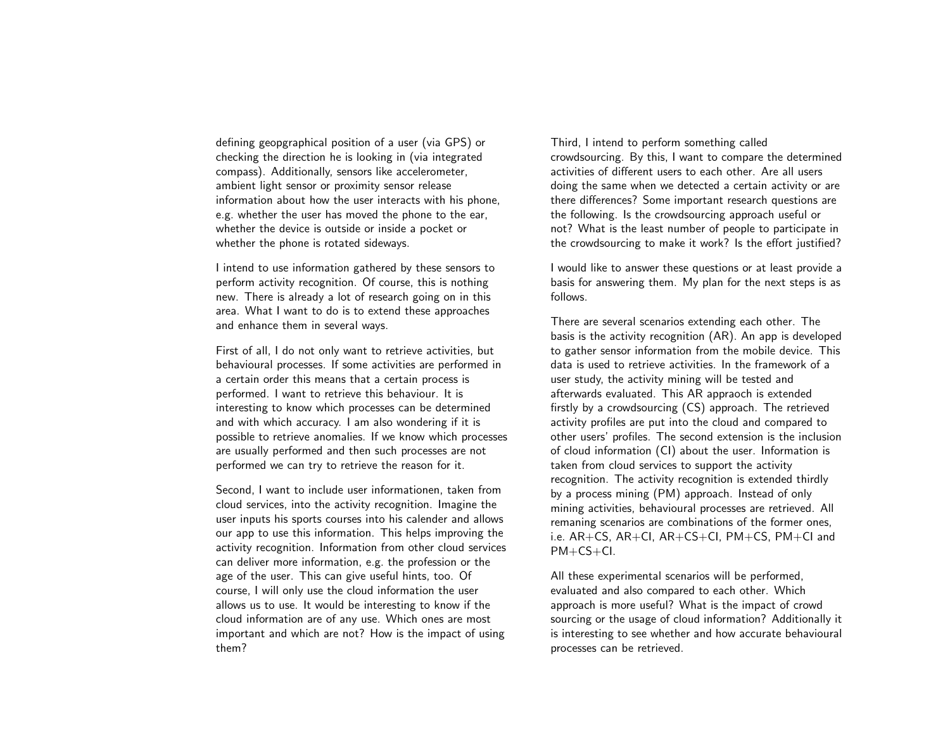defining geopgraphical position of a user (via GPS) or checking the direction he is looking in (via integrated compass). Additionally, sensors like accelerometer, ambient light sensor or proximity sensor release information about how the user interacts with his phone, e.g. whether the user has moved the phone to the ear, whether the device is outside or inside a pocket or whether the phone is rotated sideways.

I intend to use information gathered by these sensors to perform activity recognition. Of course, this is nothing new. There is already a lot of research going on in this area. What I want to do is to extend these approaches and enhance them in several ways.

First of all, I do not only want to retrieve activities, but behavioural processes. If some activities are performed in a certain order this means that a certain process is performed. I want to retrieve this behaviour. It is interesting to know which processes can be determined and with which accuracy. I am also wondering if it is possible to retrieve anomalies. If we know which processes are usually performed and then such processes are not performed we can try to retrieve the reason for it.

Second, I want to include user informationen, taken from cloud services, into the activity recognition. Imagine the user inputs his sports courses into his calender and allows our app to use this information. This helps improving the activity recognition. Information from other cloud services can deliver more information, e.g. the profession or the age of the user. This can give useful hints, too. Of course, I will only use the cloud information the user allows us to use. It would be interesting to know if the cloud information are of any use. Which ones are most important and which are not? How is the impact of using them?

Third, I intend to perform something called crowdsourcing. By this, I want to compare the determined activities of different users to each other. Are all users doing the same when we detected a certain activity or are there differences? Some important research questions are the following. Is the crowdsourcing approach useful or not? What is the least number of people to participate in the crowdsourcing to make it work? Is the effort justified?

I would like to answer these questions or at least provide a basis for answering them. My plan for the next steps is as follows.

There are several scenarios extending each other. The basis is the activity recognition (AR). An app is developed to gather sensor information from the mobile device. This data is used to retrieve activities. In the framework of a user study, the activity mining will be tested and afterwards evaluated. This AR appraoch is extended firstly by a crowdsourcing (CS) approach. The retrieved activity profiles are put into the cloud and compared to other users' profiles. The second extension is the inclusion of cloud information (CI) about the user. Information is taken from cloud services to support the activity recognition. The activity recognition is extended thirdly by a process mining (PM) approach. Instead of only mining activities, behavioural processes are retrieved. All remaning scenarios are combinations of the former ones, i.e. AR+CS, AR+CI, AR+CS+CI, PM+CS, PM+CI and PM+CS+CI.

All these experimental scenarios will be performed, evaluated and also compared to each other. Which approach is more useful? What is the impact of crowd sourcing or the usage of cloud information? Additionally it is interesting to see whether and how accurate behavioural processes can be retrieved.